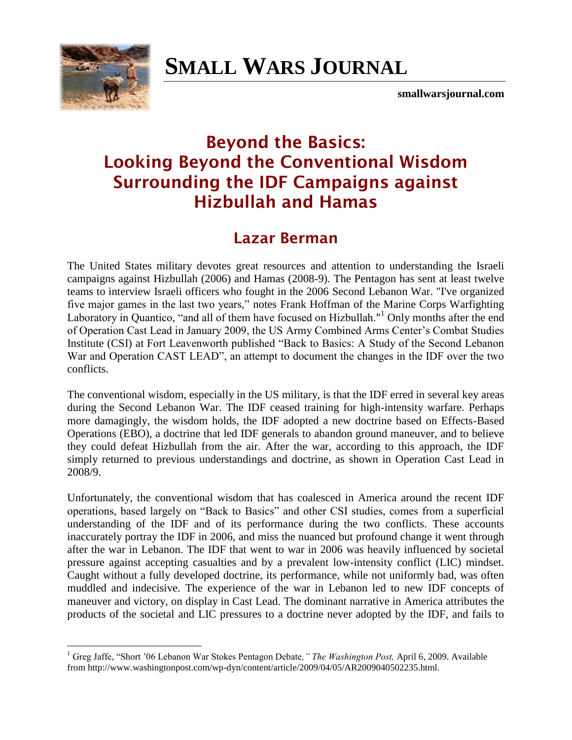

 $\overline{a}$ 

# **SMALL WARS JOURNAL**

**smallwarsjournal.com**

## **Beyond the Basics: Looking Beyond the Conventional Wisdom Surrounding the IDF Campaigns against Hizbullah and Hamas**

### **Lazar Berman**

The United States military devotes great resources and attention to understanding the Israeli campaigns against Hizbullah (2006) and Hamas (2008-9). The Pentagon has sent at least twelve teams to interview Israeli officers who fought in the 2006 Second Lebanon War. "I've organized five major games in the last two years," notes Frank Hoffman of the Marine Corps Warfighting Laboratory in Quantico, "and all of them have focused on Hizbullah."<sup>1</sup> Only months after the end of Operation Cast Lead in January 2009, the US Army Combined Arms Center"s Combat Studies Institute (CSI) at Fort Leavenworth published "Back to Basics: A Study of the Second Lebanon War and Operation CAST LEAD", an attempt to document the changes in the IDF over the two conflicts.

The conventional wisdom, especially in the US military, is that the IDF erred in several key areas during the Second Lebanon War. The IDF ceased training for high-intensity warfare. Perhaps more damagingly, the wisdom holds, the IDF adopted a new doctrine based on Effects-Based Operations (EBO), a doctrine that led IDF generals to abandon ground maneuver, and to believe they could defeat Hizbullah from the air. After the war, according to this approach, the IDF simply returned to previous understandings and doctrine, as shown in Operation Cast Lead in 2008/9.

Unfortunately, the conventional wisdom that has coalesced in America around the recent IDF operations, based largely on "Back to Basics" and other CSI studies, comes from a superficial understanding of the IDF and of its performance during the two conflicts. These accounts inaccurately portray the IDF in 2006, and miss the nuanced but profound change it went through after the war in Lebanon. The IDF that went to war in 2006 was heavily influenced by societal pressure against accepting casualties and by a prevalent low-intensity conflict (LIC) mindset. Caught without a fully developed doctrine, its performance, while not uniformly bad, was often muddled and indecisive. The experience of the war in Lebanon led to new IDF concepts of maneuver and victory, on display in Cast Lead. The dominant narrative in America attributes the products of the societal and LIC pressures to a doctrine never adopted by the IDF, and fails to

<sup>1</sup> Greg Jaffe, "Short "06 Lebanon War Stokes Pentagon Debate*," The Washington Post,* April 6, 2009. Available from http://www.washingtonpost.com/wp-dyn/content/article/2009/04/05/AR2009040502235.html.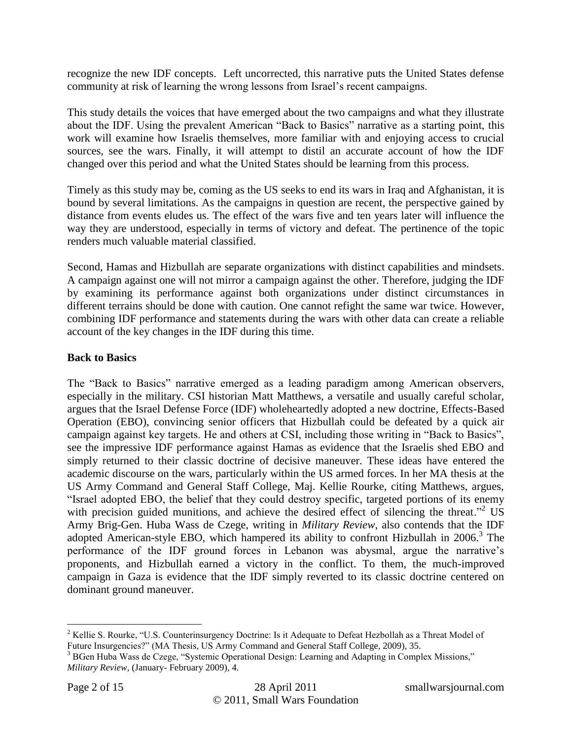recognize the new IDF concepts. Left uncorrected, this narrative puts the United States defense community at risk of learning the wrong lessons from Israel"s recent campaigns.

This study details the voices that have emerged about the two campaigns and what they illustrate about the IDF. Using the prevalent American "Back to Basics" narrative as a starting point, this work will examine how Israelis themselves, more familiar with and enjoying access to crucial sources, see the wars. Finally, it will attempt to distil an accurate account of how the IDF changed over this period and what the United States should be learning from this process.

Timely as this study may be, coming as the US seeks to end its wars in Iraq and Afghanistan, it is bound by several limitations. As the campaigns in question are recent, the perspective gained by distance from events eludes us. The effect of the wars five and ten years later will influence the way they are understood, especially in terms of victory and defeat. The pertinence of the topic renders much valuable material classified.

Second, Hamas and Hizbullah are separate organizations with distinct capabilities and mindsets. A campaign against one will not mirror a campaign against the other. Therefore, judging the IDF by examining its performance against both organizations under distinct circumstances in different terrains should be done with caution. One cannot refight the same war twice. However, combining IDF performance and statements during the wars with other data can create a reliable account of the key changes in the IDF during this time.

#### **Back to Basics**

The "Back to Basics" narrative emerged as a leading paradigm among American observers, especially in the military. CSI historian Matt Matthews, a versatile and usually careful scholar, argues that the Israel Defense Force (IDF) wholeheartedly adopted a new doctrine, Effects-Based Operation (EBO), convincing senior officers that Hizbullah could be defeated by a quick air campaign against key targets. He and others at CSI, including those writing in "Back to Basics", see the impressive IDF performance against Hamas as evidence that the Israelis shed EBO and simply returned to their classic doctrine of decisive maneuver. These ideas have entered the academic discourse on the wars, particularly within the US armed forces. In her MA thesis at the US Army Command and General Staff College, Maj. Kellie Rourke, citing Matthews, argues, "Israel adopted EBO, the belief that they could destroy specific, targeted portions of its enemy with precision guided munitions, and achieve the desired effect of silencing the threat."<sup>2</sup> US Army Brig-Gen. Huba Wass de Czege, writing in *Military Review*, also contends that the IDF adopted American-style EBO, which hampered its ability to confront Hizbullah in 2006.<sup>3</sup> The performance of the IDF ground forces in Lebanon was abysmal, argue the narrative"s proponents, and Hizbullah earned a victory in the conflict. To them, the much-improved campaign in Gaza is evidence that the IDF simply reverted to its classic doctrine centered on dominant ground maneuver.

<sup>&</sup>lt;sup>2</sup> Kellie S. Rourke, "U.S. Counterinsurgency Doctrine: Is it Adequate to Defeat Hezbollah as a Threat Model of Future Insurgencies?" (MA Thesis, US Army Command and General Staff College, 2009), 35.

<sup>&</sup>lt;sup>3</sup> BGen Huba Wass de Czege, "Systemic Operational Design: Learning and Adapting in Complex Missions," *Military Review*, (January- February 2009), 4.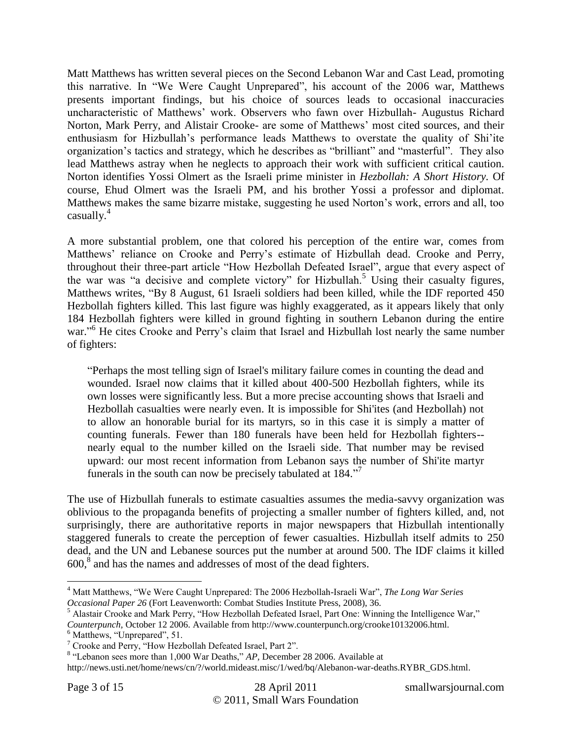Matt Matthews has written several pieces on the Second Lebanon War and Cast Lead, promoting this narrative. In "We Were Caught Unprepared", his account of the 2006 war, Matthews presents important findings, but his choice of sources leads to occasional inaccuracies uncharacteristic of Matthews" work. Observers who fawn over Hizbullah- Augustus Richard Norton, Mark Perry, and Alistair Crooke- are some of Matthews" most cited sources, and their enthusiasm for Hizbullah"s performance leads Matthews to overstate the quality of Shi"ite organization"s tactics and strategy, which he describes as "brilliant" and "masterful". They also lead Matthews astray when he neglects to approach their work with sufficient critical caution. Norton identifies Yossi Olmert as the Israeli prime minister in *Hezbollah: A Short History.* Of course, Ehud Olmert was the Israeli PM, and his brother Yossi a professor and diplomat. Matthews makes the same bizarre mistake, suggesting he used Norton"s work, errors and all, too casually.<sup>4</sup>

A more substantial problem, one that colored his perception of the entire war, comes from Matthews' reliance on Crooke and Perry's estimate of Hizbullah dead. Crooke and Perry, throughout their three-part article "How Hezbollah Defeated Israel", argue that every aspect of the war was "a decisive and complete victory" for Hizbullah.<sup>5</sup> Using their casualty figures, Matthews writes, "By 8 August, 61 Israeli soldiers had been killed, while the IDF reported 450 Hezbollah fighters killed. This last figure was highly exaggerated, as it appears likely that only 184 Hezbollah fighters were killed in ground fighting in southern Lebanon during the entire war."<sup>6</sup> He cites Crooke and Perry's claim that Israel and Hizbullah lost nearly the same number of fighters:

"Perhaps the most telling sign of Israel's military failure comes in counting the dead and wounded. Israel now claims that it killed about 400-500 Hezbollah fighters, while its own losses were significantly less. But a more precise accounting shows that Israeli and Hezbollah casualties were nearly even. It is impossible for Shi'ites (and Hezbollah) not to allow an honorable burial for its martyrs, so in this case it is simply a matter of counting funerals. Fewer than 180 funerals have been held for Hezbollah fighters- nearly equal to the number killed on the Israeli side. That number may be revised upward: our most recent information from Lebanon says the number of Shi'ite martyr funerals in the south can now be precisely tabulated at 184."<sup>7</sup>

The use of Hizbullah funerals to estimate casualties assumes the media-savvy organization was oblivious to the propaganda benefits of projecting a smaller number of fighters killed, and, not surprisingly, there are authoritative reports in major newspapers that Hizbullah intentionally staggered funerals to create the perception of fewer casualties. Hizbullah itself admits to 250 dead, and the UN and Lebanese sources put the number at around 500. The IDF claims it killed  $600<sup>8</sup>$  and has the names and addresses of most of the dead fighters.

<sup>4</sup> Matt Matthews, "We Were Caught Unprepared: The 2006 Hezbollah-Israeli War", *The Long War Series Occasional Paper 26* (Fort Leavenworth: Combat Studies Institute Press, 2008), 36.

<sup>&</sup>lt;sup>5</sup> Alastair Crooke and Mark Perry, "How Hezbollah Defeated Israel, Part One: Winning the Intelligence War,"

*Counterpunch,* October 12 2006. Available from http://www.counterpunch.org/crooke10132006.html.

<sup>6</sup> Matthews, "Unprepared", 51.

<sup>7</sup> Crooke and Perry, "How Hezbollah Defeated Israel, Part 2".

<sup>&</sup>lt;sup>8</sup> "Lebanon sees more than 1,000 War Deaths," AP, December 28 2006. Available at

http://news.usti.net/home/news/cn/?/world.mideast.misc/1/wed/bq/Alebanon-war-deaths.RYBR\_GDS.html.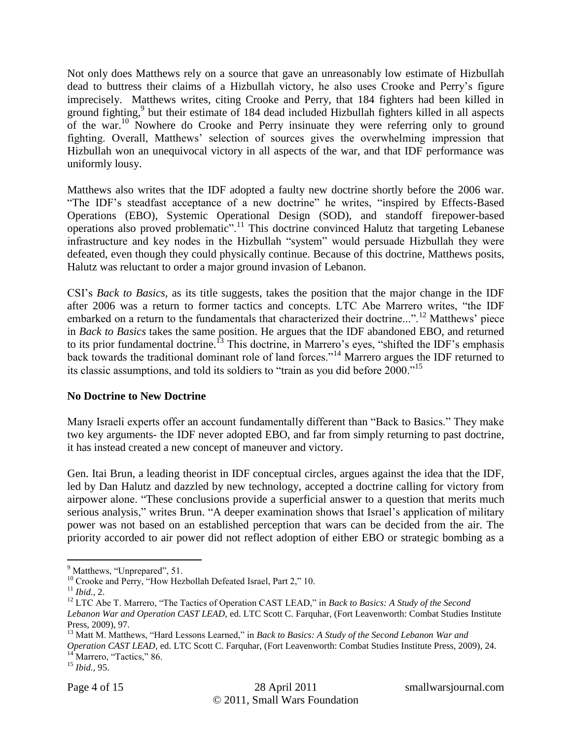Not only does Matthews rely on a source that gave an unreasonably low estimate of Hizbullah dead to buttress their claims of a Hizbullah victory, he also uses Crooke and Perry"s figure imprecisely. Matthews writes, citing Crooke and Perry, that 184 fighters had been killed in ground fighting,<sup>9</sup> but their estimate of 184 dead included Hizbullah fighters killed in all aspects of the war.<sup>10</sup> Nowhere do Crooke and Perry insinuate they were referring only to ground fighting. Overall, Matthews" selection of sources gives the overwhelming impression that Hizbullah won an unequivocal victory in all aspects of the war, and that IDF performance was uniformly lousy.

Matthews also writes that the IDF adopted a faulty new doctrine shortly before the 2006 war. "The IDF"s steadfast acceptance of a new doctrine" he writes, "inspired by Effects-Based Operations (EBO), Systemic Operational Design (SOD), and standoff firepower-based operations also proved problematic".<sup>11</sup> This doctrine convinced Halutz that targeting Lebanese infrastructure and key nodes in the Hizbullah "system" would persuade Hizbullah they were defeated, even though they could physically continue. Because of this doctrine, Matthews posits, Halutz was reluctant to order a major ground invasion of Lebanon.

CSI"s *Back to Basics,* as its title suggests, takes the position that the major change in the IDF after 2006 was a return to former tactics and concepts. LTC Abe Marrero writes, "the IDF embarked on a return to the fundamentals that characterized their doctrine...".<sup>12</sup> Matthews' piece in *Back to Basics* takes the same position. He argues that the IDF abandoned EBO, and returned to its prior fundamental doctrine.<sup>13</sup> This doctrine, in Marrero's eyes, "shifted the IDF's emphasis back towards the traditional dominant role of land forces."<sup>14</sup> Marrero argues the IDF returned to its classic assumptions, and told its soldiers to "train as you did before 2000."<sup>15</sup>

#### **No Doctrine to New Doctrine**

Many Israeli experts offer an account fundamentally different than "Back to Basics." They make two key arguments- the IDF never adopted EBO, and far from simply returning to past doctrine, it has instead created a new concept of maneuver and victory.

Gen. Itai Brun, a leading theorist in IDF conceptual circles, argues against the idea that the IDF, led by Dan Halutz and dazzled by new technology, accepted a doctrine calling for victory from airpower alone. "These conclusions provide a superficial answer to a question that merits much serious analysis," writes Brun. "A deeper examination shows that Israel's application of military power was not based on an established perception that wars can be decided from the air. The priority accorded to air power did not reflect adoption of either EBO or strategic bombing as a

<sup>13</sup> Matt M. Matthews, "Hard Lessons Learned," in *Back to Basics: A Study of the Second Lebanon War and Operation CAST LEAD,* ed. LTC Scott C. Farquhar, (Fort Leavenworth: Combat Studies Institute Press, 2009), 24.

 $14$ <sup>14</sup> Marrero, "Tactics," 86.

 $\overline{a}$  $<sup>9</sup>$  Matthews, "Unprepared", 51.</sup>

<sup>&</sup>lt;sup>10</sup> Crooke and Perry, "How Hezbollah Defeated Israel, Part 2," 10.

 $11$  *Ibid., 2.* 

<sup>&</sup>lt;sup>12</sup> LTC Abe T. Marrero, "The Tactics of Operation CAST LEAD," in *Back to Basics: A Study of the Second Lebanon War and Operation CAST LEAD,* ed. LTC Scott C. Farquhar, (Fort Leavenworth: Combat Studies Institute Press, 2009), 97.

<sup>15</sup> *Ibid.,* 95.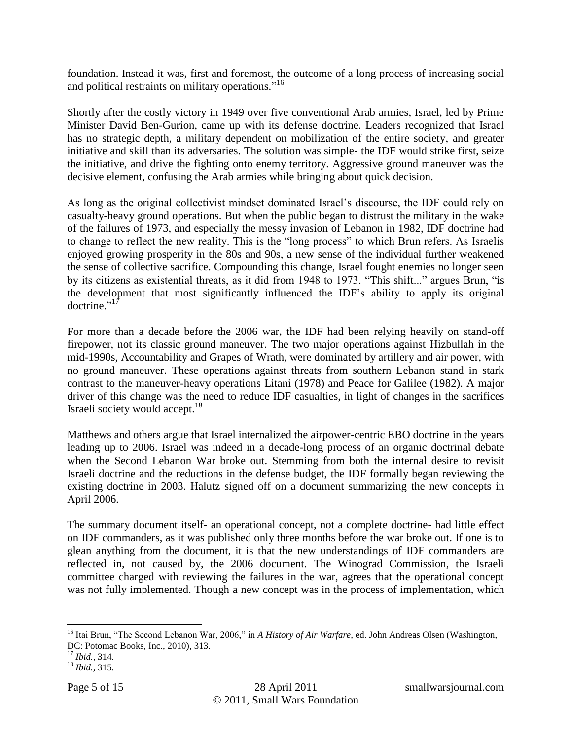foundation. Instead it was, first and foremost, the outcome of a long process of increasing social and political restraints on military operations."<sup>16</sup>

Shortly after the costly victory in 1949 over five conventional Arab armies, Israel, led by Prime Minister David Ben-Gurion, came up with its defense doctrine. Leaders recognized that Israel has no strategic depth, a military dependent on mobilization of the entire society, and greater initiative and skill than its adversaries. The solution was simple- the IDF would strike first, seize the initiative, and drive the fighting onto enemy territory. Aggressive ground maneuver was the decisive element, confusing the Arab armies while bringing about quick decision.

As long as the original collectivist mindset dominated Israel"s discourse, the IDF could rely on casualty-heavy ground operations. But when the public began to distrust the military in the wake of the failures of 1973, and especially the messy invasion of Lebanon in 1982, IDF doctrine had to change to reflect the new reality. This is the "long process" to which Brun refers. As Israelis enjoyed growing prosperity in the 80s and 90s, a new sense of the individual further weakened the sense of collective sacrifice. Compounding this change, Israel fought enemies no longer seen by its citizens as existential threats, as it did from 1948 to 1973. "This shift..." argues Brun, "is the development that most significantly influenced the IDF"s ability to apply its original doctrine."<sup>17</sup>

For more than a decade before the 2006 war, the IDF had been relying heavily on stand-off firepower, not its classic ground maneuver. The two major operations against Hizbullah in the mid-1990s, Accountability and Grapes of Wrath, were dominated by artillery and air power, with no ground maneuver. These operations against threats from southern Lebanon stand in stark contrast to the maneuver-heavy operations Litani (1978) and Peace for Galilee (1982). A major driver of this change was the need to reduce IDF casualties, in light of changes in the sacrifices Israeli society would accept. 18

Matthews and others argue that Israel internalized the airpower-centric EBO doctrine in the years leading up to 2006. Israel was indeed in a decade-long process of an organic doctrinal debate when the Second Lebanon War broke out. Stemming from both the internal desire to revisit Israeli doctrine and the reductions in the defense budget, the IDF formally began reviewing the existing doctrine in 2003. Halutz signed off on a document summarizing the new concepts in April 2006.

The summary document itself- an operational concept, not a complete doctrine- had little effect on IDF commanders, as it was published only three months before the war broke out. If one is to glean anything from the document, it is that the new understandings of IDF commanders are reflected in, not caused by, the 2006 document. The Winograd Commission, the Israeli committee charged with reviewing the failures in the war, agrees that the operational concept was not fully implemented. Though a new concept was in the process of implementation, which

<sup>16</sup> Itai Brun, "The Second Lebanon War, 2006," in *A History of Air Warfare,* ed. John Andreas Olsen (Washington, DC: Potomac Books, Inc., 2010), 313.

<sup>17</sup> *Ibid.,* 314.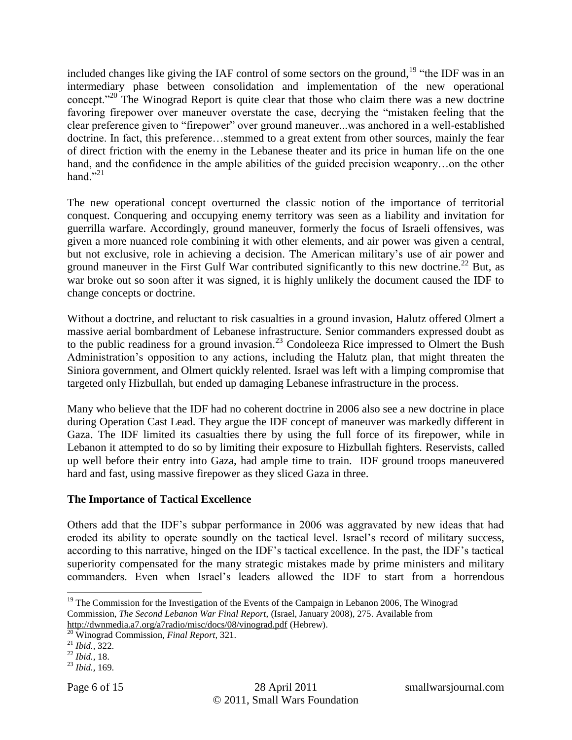included changes like giving the IAF control of some sectors on the ground,  $19$  "the IDF was in an intermediary phase between consolidation and implementation of the new operational concept."<sup>20</sup> The Winograd Report is quite clear that those who claim there was a new doctrine favoring firepower over maneuver overstate the case, decrying the "mistaken feeling that the clear preference given to "firepower" over ground maneuver...was anchored in a well-established doctrine. In fact, this preference…stemmed to a great extent from other sources, mainly the fear of direct friction with the enemy in the Lebanese theater and its price in human life on the one hand, and the confidence in the ample abilities of the guided precision weaponry...on the other hand." $^{21}$ 

The new operational concept overturned the classic notion of the importance of territorial conquest. Conquering and occupying enemy territory was seen as a liability and invitation for guerrilla warfare. Accordingly, ground maneuver, formerly the focus of Israeli offensives, was given a more nuanced role combining it with other elements, and air power was given a central, but not exclusive, role in achieving a decision. The American military"s use of air power and ground maneuver in the First Gulf War contributed significantly to this new doctrine.<sup>22</sup> But, as war broke out so soon after it was signed, it is highly unlikely the document caused the IDF to change concepts or doctrine.

Without a doctrine, and reluctant to risk casualties in a ground invasion, Halutz offered Olmert a massive aerial bombardment of Lebanese infrastructure. Senior commanders expressed doubt as to the public readiness for a ground invasion.<sup>23</sup> Condoleeza Rice impressed to Olmert the Bush Administration"s opposition to any actions, including the Halutz plan, that might threaten the Siniora government, and Olmert quickly relented. Israel was left with a limping compromise that targeted only Hizbullah, but ended up damaging Lebanese infrastructure in the process.

Many who believe that the IDF had no coherent doctrine in 2006 also see a new doctrine in place during Operation Cast Lead. They argue the IDF concept of maneuver was markedly different in Gaza. The IDF limited its casualties there by using the full force of its firepower, while in Lebanon it attempted to do so by limiting their exposure to Hizbullah fighters. Reservists, called up well before their entry into Gaza, had ample time to train. IDF ground troops maneuvered hard and fast, using massive firepower as they sliced Gaza in three.

#### **The Importance of Tactical Excellence**

Others add that the IDF"s subpar performance in 2006 was aggravated by new ideas that had eroded its ability to operate soundly on the tactical level. Israel"s record of military success, according to this narrative, hinged on the IDF"s tactical excellence. In the past, the IDF"s tactical superiority compensated for the many strategic mistakes made by prime ministers and military commanders. Even when Israel"s leaders allowed the IDF to start from a horrendous

 $19$  The Commission for the Investigation of the Events of the Campaign in Lebanon 2006, The Winograd Commission, *The Second Lebanon War Final Report,* (Israel, January 2008), 275. Available from <http://dwnmedia.a7.org/a7radio/misc/docs/08/vinograd.pdf> (Hebrew).

<sup>&</sup>lt;sup>20</sup> Winograd Commission, *Final Report*, 321.

<sup>21</sup> *Ibid.,* 322.

<sup>22</sup> *Ibid.,* 18.

<sup>23</sup> *Ibid.,* 169.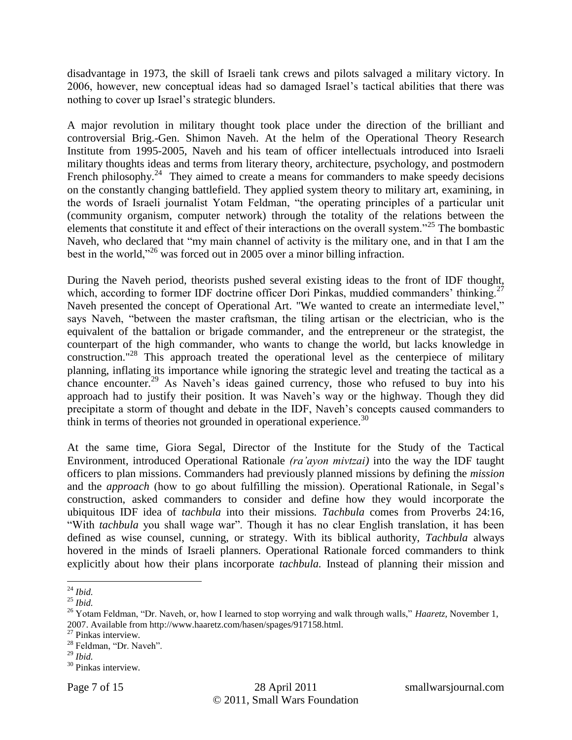disadvantage in 1973, the skill of Israeli tank crews and pilots salvaged a military victory. In 2006, however, new conceptual ideas had so damaged Israel"s tactical abilities that there was nothing to cover up Israel's strategic blunders.

A major revolution in military thought took place under the direction of the brilliant and controversial Brig.-Gen. Shimon Naveh. At the helm of the Operational Theory Research Institute from 1995-2005, Naveh and his team of officer intellectuals introduced into Israeli military thoughts ideas and terms from literary theory, architecture, psychology, and postmodern French philosophy.<sup>24</sup> They aimed to create a means for commanders to make speedy decisions on the constantly changing battlefield. They applied system theory to military art, examining, in the words of Israeli journalist Yotam Feldman, "the operating principles of a particular unit (community organism, computer network) through the totality of the relations between the elements that constitute it and effect of their interactions on the overall system."<sup>25</sup> The bombastic Naveh, who declared that "my main channel of activity is the military one, and in that I am the best in the world,"<sup>26</sup> was forced out in 2005 over a minor billing infraction.

During the Naveh period, theorists pushed several existing ideas to the front of IDF thought, which, according to former IDF doctrine officer Dori Pinkas, muddied commanders' thinking.<sup>27</sup> Naveh presented the concept of Operational Art. "We wanted to create an intermediate level," says Naveh, "between the master craftsman, the tiling artisan or the electrician, who is the equivalent of the battalion or brigade commander, and the entrepreneur or the strategist, the counterpart of the high commander, who wants to change the world, but lacks knowledge in construction."<sup>28</sup> This approach treated the operational level as the centerpiece of military planning, inflating its importance while ignoring the strategic level and treating the tactical as a chance encounter.<sup>29</sup> As Naveh's ideas gained currency, those who refused to buy into his approach had to justify their position. It was Naveh"s way or the highway. Though they did precipitate a storm of thought and debate in the IDF, Naveh"s concepts caused commanders to think in terms of theories not grounded in operational experience.<sup>30</sup>

At the same time, Giora Segal, Director of the Institute for the Study of the Tactical Environment, introduced Operational Rationale *(ra'ayon mivtzai)* into the way the IDF taught officers to plan missions. Commanders had previously planned missions by defining the *mission* and the *approach* (how to go about fulfilling the mission). Operational Rationale, in Segal"s construction, asked commanders to consider and define how they would incorporate the ubiquitous IDF idea of *tachbula* into their missions*. Tachbula* comes from Proverbs 24:16, "With *tachbula* you shall wage war". Though it has no clear English translation, it has been defined as wise counsel, cunning, or strategy. With its biblical authority, *Tachbula* always hovered in the minds of Israeli planners. Operational Rationale forced commanders to think explicitly about how their plans incorporate *tachbula.* Instead of planning their mission and

 $\overline{a}$ <sup>24</sup> *Ibid.*

<sup>25</sup> *Ibid.*

<sup>26</sup> Yotam Feldman, "Dr. Naveh, or, how I learned to stop worrying and walk through walls," *Haaretz,* November 1, 2007. Available from http://www.haaretz.com/hasen/spages/917158.html.

<sup>&</sup>lt;sup>27</sup> Pinkas interview.

<sup>28</sup> Feldman, "Dr. Naveh".

<sup>29</sup> *Ibid.*

<sup>30</sup> Pinkas interview.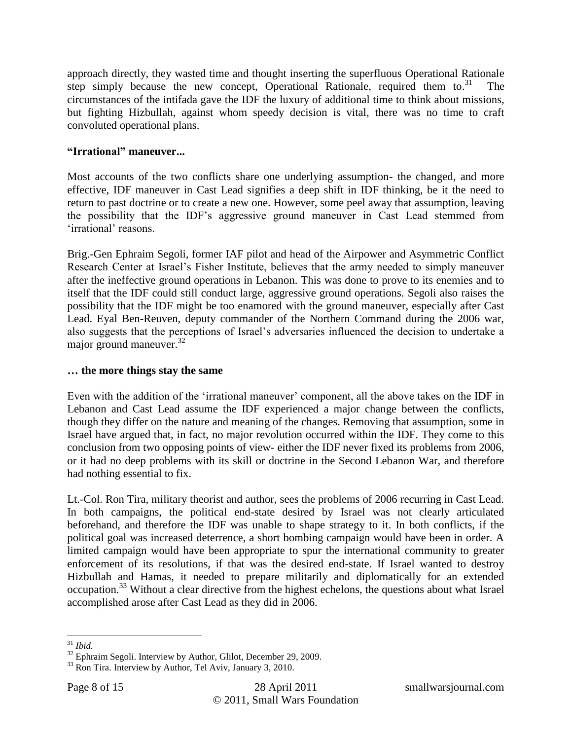approach directly, they wasted time and thought inserting the superfluous Operational Rationale step simply because the new concept, Operational Rationale, required them to.<sup>31</sup> The circumstances of the intifada gave the IDF the luxury of additional time to think about missions, but fighting Hizbullah, against whom speedy decision is vital, there was no time to craft convoluted operational plans.

#### **"Irrational" maneuver...**

Most accounts of the two conflicts share one underlying assumption- the changed, and more effective, IDF maneuver in Cast Lead signifies a deep shift in IDF thinking, be it the need to return to past doctrine or to create a new one. However, some peel away that assumption, leaving the possibility that the IDF"s aggressive ground maneuver in Cast Lead stemmed from 'irrational' reasons.

Brig.-Gen Ephraim Segoli, former IAF pilot and head of the Airpower and Asymmetric Conflict Research Center at Israel"s Fisher Institute, believes that the army needed to simply maneuver after the ineffective ground operations in Lebanon. This was done to prove to its enemies and to itself that the IDF could still conduct large, aggressive ground operations. Segoli also raises the possibility that the IDF might be too enamored with the ground maneuver, especially after Cast Lead. Eyal Ben-Reuven, deputy commander of the Northern Command during the 2006 war, also suggests that the perceptions of Israel"s adversaries influenced the decision to undertake a major ground maneuver. $32$ 

#### **… the more things stay the same**

Even with the addition of the "irrational maneuver" component, all the above takes on the IDF in Lebanon and Cast Lead assume the IDF experienced a major change between the conflicts, though they differ on the nature and meaning of the changes. Removing that assumption, some in Israel have argued that, in fact, no major revolution occurred within the IDF. They come to this conclusion from two opposing points of view- either the IDF never fixed its problems from 2006, or it had no deep problems with its skill or doctrine in the Second Lebanon War, and therefore had nothing essential to fix.

Lt.-Col. Ron Tira, military theorist and author, sees the problems of 2006 recurring in Cast Lead. In both campaigns, the political end-state desired by Israel was not clearly articulated beforehand, and therefore the IDF was unable to shape strategy to it. In both conflicts, if the political goal was increased deterrence, a short bombing campaign would have been in order. A limited campaign would have been appropriate to spur the international community to greater enforcement of its resolutions, if that was the desired end-state. If Israel wanted to destroy Hizbullah and Hamas, it needed to prepare militarily and diplomatically for an extended occupation.<sup>33</sup> Without a clear directive from the highest echelons, the questions about what Israel accomplished arose after Cast Lead as they did in 2006.

 $\overline{a}$ <sup>31</sup> *Ibid.*

 $32$  Ephraim Segoli. Interview by Author, Glilot, December 29, 2009.

<sup>&</sup>lt;sup>33</sup> Ron Tira. Interview by Author, Tel Aviv, January 3, 2010.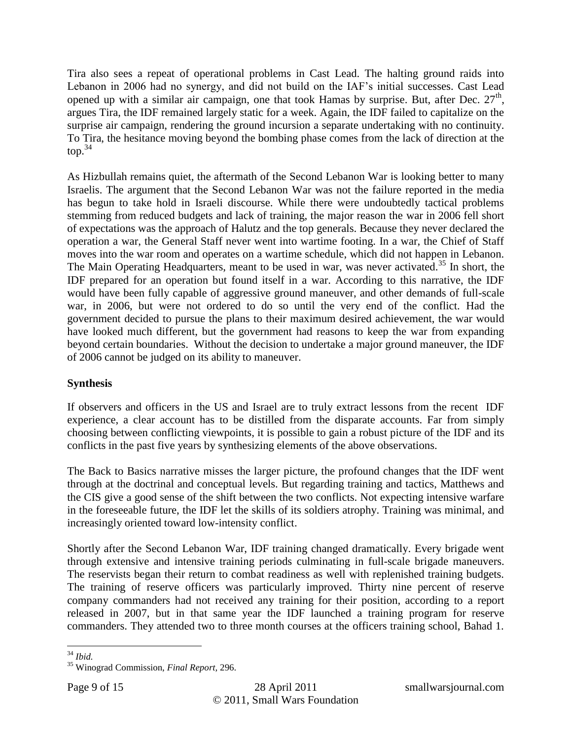Tira also sees a repeat of operational problems in Cast Lead. The halting ground raids into Lebanon in 2006 had no synergy, and did not build on the IAF"s initial successes. Cast Lead opened up with a similar air campaign, one that took Hamas by surprise. But, after Dec.  $27<sup>th</sup>$ , argues Tira, the IDF remained largely static for a week. Again, the IDF failed to capitalize on the surprise air campaign, rendering the ground incursion a separate undertaking with no continuity. To Tira, the hesitance moving beyond the bombing phase comes from the lack of direction at the  $top.<sup>34</sup>$ 

As Hizbullah remains quiet, the aftermath of the Second Lebanon War is looking better to many Israelis. The argument that the Second Lebanon War was not the failure reported in the media has begun to take hold in Israeli discourse. While there were undoubtedly tactical problems stemming from reduced budgets and lack of training, the major reason the war in 2006 fell short of expectations was the approach of Halutz and the top generals. Because they never declared the operation a war, the General Staff never went into wartime footing. In a war, the Chief of Staff moves into the war room and operates on a wartime schedule, which did not happen in Lebanon. The Main Operating Headquarters, meant to be used in war, was never activated.<sup>35</sup> In short, the IDF prepared for an operation but found itself in a war. According to this narrative, the IDF would have been fully capable of aggressive ground maneuver, and other demands of full-scale war, in 2006, but were not ordered to do so until the very end of the conflict. Had the government decided to pursue the plans to their maximum desired achievement, the war would have looked much different, but the government had reasons to keep the war from expanding beyond certain boundaries. Without the decision to undertake a major ground maneuver, the IDF of 2006 cannot be judged on its ability to maneuver.

#### **Synthesis**

If observers and officers in the US and Israel are to truly extract lessons from the recent IDF experience, a clear account has to be distilled from the disparate accounts. Far from simply choosing between conflicting viewpoints, it is possible to gain a robust picture of the IDF and its conflicts in the past five years by synthesizing elements of the above observations.

The Back to Basics narrative misses the larger picture, the profound changes that the IDF went through at the doctrinal and conceptual levels. But regarding training and tactics, Matthews and the CIS give a good sense of the shift between the two conflicts. Not expecting intensive warfare in the foreseeable future, the IDF let the skills of its soldiers atrophy. Training was minimal, and increasingly oriented toward low-intensity conflict.

Shortly after the Second Lebanon War, IDF training changed dramatically. Every brigade went through extensive and intensive training periods culminating in full-scale brigade maneuvers. The reservists began their return to combat readiness as well with replenished training budgets. The training of reserve officers was particularly improved. Thirty nine percent of reserve company commanders had not received any training for their position, according to a report released in 2007, but in that same year the IDF launched a training program for reserve commanders. They attended two to three month courses at the officers training school, Bahad 1.

<sup>34</sup> *Ibid.*

<sup>35</sup> Winograd Commission, *Final Report,* 296.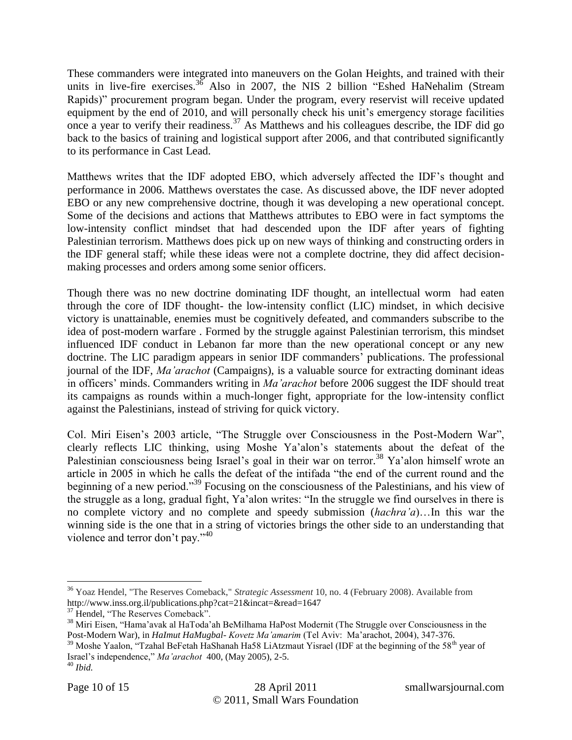These commanders were integrated into maneuvers on the Golan Heights, and trained with their units in live-fire exercises.<sup>36</sup> Also in 2007, the NIS 2 billion "Eshed HaNehalim (Stream Rapids)" procurement program began. Under the program, every reservist will receive updated equipment by the end of 2010, and will personally check his unit's emergency storage facilities once a year to verify their readiness.<sup>37</sup> As Matthews and his colleagues describe, the IDF did go back to the basics of training and logistical support after 2006, and that contributed significantly to its performance in Cast Lead.

Matthews writes that the IDF adopted EBO, which adversely affected the IDF"s thought and performance in 2006. Matthews overstates the case. As discussed above, the IDF never adopted EBO or any new comprehensive doctrine, though it was developing a new operational concept. Some of the decisions and actions that Matthews attributes to EBO were in fact symptoms the low-intensity conflict mindset that had descended upon the IDF after years of fighting Palestinian terrorism. Matthews does pick up on new ways of thinking and constructing orders in the IDF general staff; while these ideas were not a complete doctrine, they did affect decisionmaking processes and orders among some senior officers.

Though there was no new doctrine dominating IDF thought, an intellectual worm had eaten through the core of IDF thought- the low-intensity conflict (LIC) mindset, in which decisive victory is unattainable, enemies must be cognitively defeated, and commanders subscribe to the idea of post-modern warfare . Formed by the struggle against Palestinian terrorism, this mindset influenced IDF conduct in Lebanon far more than the new operational concept or any new doctrine. The LIC paradigm appears in senior IDF commanders' publications. The professional journal of the IDF, *Ma'arachot* (Campaigns), is a valuable source for extracting dominant ideas in officers" minds. Commanders writing in *Ma'arachot* before 2006 suggest the IDF should treat its campaigns as rounds within a much-longer fight, appropriate for the low-intensity conflict against the Palestinians, instead of striving for quick victory.

Col. Miri Eisen"s 2003 article, "The Struggle over Consciousness in the Post-Modern War", clearly reflects LIC thinking, using Moshe Ya"alon"s statements about the defeat of the Palestinian consciousness being Israel's goal in their war on terror.<sup>38</sup> Ya'alon himself wrote an article in 2005 in which he calls the defeat of the intifada "the end of the current round and the beginning of a new period."<sup>39</sup> Focusing on the consciousness of the Palestinians, and his view of the struggle as a long, gradual fight, Ya"alon writes: "In the struggle we find ourselves in there is no complete victory and no complete and speedy submission (*hachra'a*)…In this war the winning side is the one that in a string of victories brings the other side to an understanding that violence and terror don't pay."<sup>40</sup>

<sup>36</sup> Yoaz Hendel, "The Reserves Comeback," *Strategic Assessment* 10, no. 4 (February 2008). Available from http://www.inss.org.il/publications.php?cat=21&incat=&read=1647

<sup>&</sup>lt;sup>37</sup> Hendel, "The Reserves Comeback".

<sup>&</sup>lt;sup>38</sup> Miri Eisen, "Hama'avak al HaToda'ah BeMilhama HaPost Modernit (The Struggle over Consciousness in the Post-Modern War), in *HaImut HaMugbal- Kovetz Ma'amarim* (Tel Aviv: Ma"arachot, 2004), 347-376.

 $39$  Moshe Yaalon, "Tzahal BeFetah HaShanah Ha58 LiAtzmaut Yisrael (IDF at the beginning of the 58<sup>th</sup> year of Israel"s independence," *Ma'arachot* 400, (May 2005), 2-5. <sup>40</sup> *Ibid.*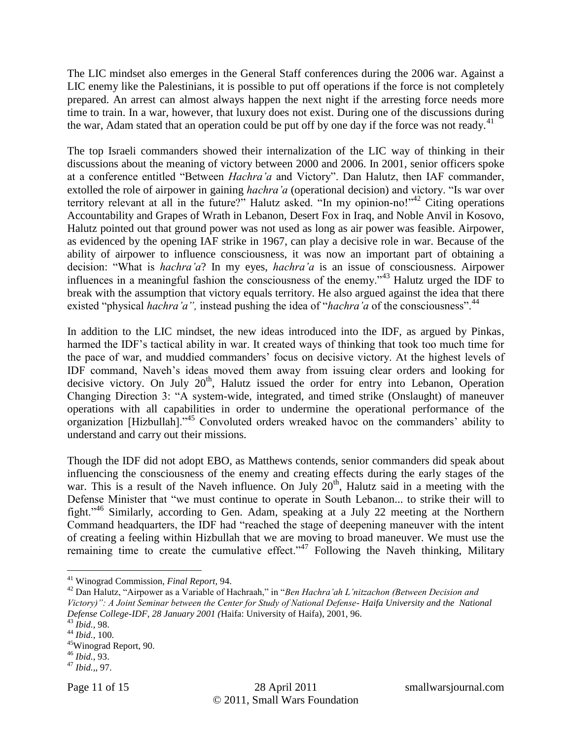The LIC mindset also emerges in the General Staff conferences during the 2006 war. Against a LIC enemy like the Palestinians, it is possible to put off operations if the force is not completely prepared. An arrest can almost always happen the next night if the arresting force needs more time to train. In a war, however, that luxury does not exist. During one of the discussions during the war, Adam stated that an operation could be put off by one day if the force was not ready.<sup>41</sup>

The top Israeli commanders showed their internalization of the LIC way of thinking in their discussions about the meaning of victory between 2000 and 2006. In 2001, senior officers spoke at a conference entitled "Between *Hachra'a* and Victory". Dan Halutz, then IAF commander, extolled the role of airpower in gaining *hachra'a* (operational decision) and victory. "Is war over territory relevant at all in the future?" Halutz asked. "In my opinion-no!" Citing operations Accountability and Grapes of Wrath in Lebanon, Desert Fox in Iraq, and Noble Anvil in Kosovo, Halutz pointed out that ground power was not used as long as air power was feasible. Airpower, as evidenced by the opening IAF strike in 1967, can play a decisive role in war. Because of the ability of airpower to influence consciousness, it was now an important part of obtaining a decision: "What is *hachra'a*? In my eyes, *hachra'a* is an issue of consciousness. Airpower influences in a meaningful fashion the consciousness of the enemy."<sup>43</sup> Halutz urged the IDF to break with the assumption that victory equals territory. He also argued against the idea that there existed "physical *hachra'a"*, instead pushing the idea of "*hachra'a* of the consciousness".<sup>44</sup>

In addition to the LIC mindset, the new ideas introduced into the IDF, as argued by Pinkas, harmed the IDF's tactical ability in war. It created ways of thinking that took too much time for the pace of war, and muddied commanders" focus on decisive victory. At the highest levels of IDF command, Naveh"s ideas moved them away from issuing clear orders and looking for decisive victory. On July  $20<sup>th</sup>$ , Halutz issued the order for entry into Lebanon, Operation Changing Direction 3: "A system-wide, integrated, and timed strike (Onslaught) of maneuver operations with all capabilities in order to undermine the operational performance of the organization [Hizbullah]."<sup>45</sup> Convoluted orders wreaked havoc on the commanders" ability to understand and carry out their missions.

Though the IDF did not adopt EBO, as Matthews contends, senior commanders did speak about influencing the consciousness of the enemy and creating effects during the early stages of the war. This is a result of the Naveh influence. On July  $20<sup>th</sup>$ , Halutz said in a meeting with the Defense Minister that "we must continue to operate in South Lebanon... to strike their will to fight."<sup>46</sup> Similarly, according to Gen. Adam, speaking at a July 22 meeting at the Northern Command headquarters, the IDF had "reached the stage of deepening maneuver with the intent of creating a feeling within Hizbullah that we are moving to broad maneuver. We must use the remaining time to create the cumulative effect."<sup>47</sup> Following the Naveh thinking, Military

<sup>41</sup> Winograd Commission, *Final Report,* 94.

<sup>42</sup> Dan Halutz, "Airpower as a Variable of Hachraah," in "*Ben Hachra'ah L'nitzachon (Between Decision and Victory)": A Joint Seminar between the Center for Study of National Defense- Haifa University and the National Defense College-IDF, 28 January 2001 (*Haifa: University of Haifa), 2001, 96.

<sup>43</sup> *Ibid.,* 98.

<sup>44</sup> *Ibid.,* 100.

<sup>45</sup>Winograd Report, 90.

<sup>46</sup> *Ibid.*, 93.

<sup>47</sup> *Ibid.,*, 97.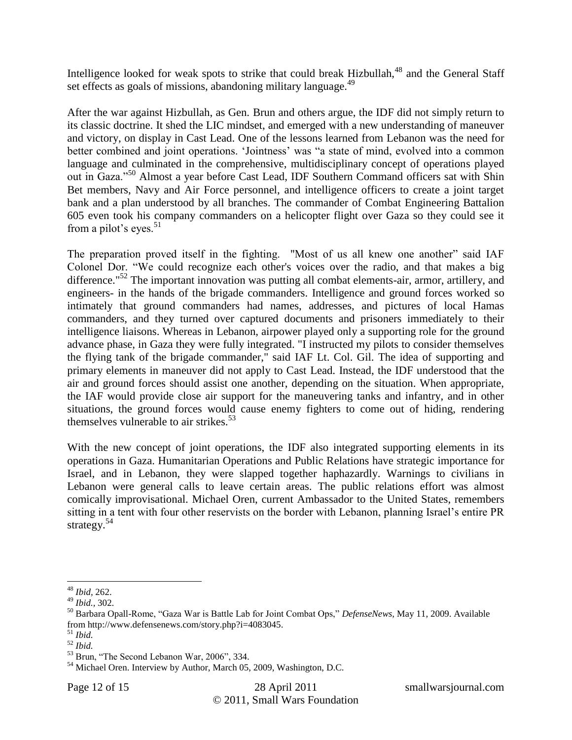Intelligence looked for weak spots to strike that could break Hizbullah, $48$  and the General Staff set effects as goals of missions, abandoning military language.<sup>49</sup>

After the war against Hizbullah, as Gen. Brun and others argue, the IDF did not simply return to its classic doctrine. It shed the LIC mindset, and emerged with a new understanding of maneuver and victory, on display in Cast Lead. One of the lessons learned from Lebanon was the need for better combined and joint operations. 'Jointness' was "a state of mind, evolved into a common language and culminated in the comprehensive, multidisciplinary concept of operations played out in Gaza."<sup>50</sup> Almost a year before Cast Lead, IDF Southern Command officers sat with Shin Bet members, Navy and Air Force personnel, and intelligence officers to create a joint target bank and a plan understood by all branches. The commander of Combat Engineering Battalion 605 even took his company commanders on a helicopter flight over Gaza so they could see it from a pilot's eyes. $51$ 

The preparation proved itself in the fighting. "Most of us all knew one another" said IAF Colonel Dor. "We could recognize each other's voices over the radio, and that makes a big difference."<sup>52</sup> The important innovation was putting all combat elements-air, armor, artillery, and engineers- in the hands of the brigade commanders. Intelligence and ground forces worked so intimately that ground commanders had names, addresses, and pictures of local Hamas commanders, and they turned over captured documents and prisoners immediately to their intelligence liaisons. Whereas in Lebanon, airpower played only a supporting role for the ground advance phase, in Gaza they were fully integrated. "I instructed my pilots to consider themselves the flying tank of the brigade commander," said IAF Lt. Col. Gil. The idea of supporting and primary elements in maneuver did not apply to Cast Lead. Instead, the IDF understood that the air and ground forces should assist one another, depending on the situation. When appropriate, the IAF would provide close air support for the maneuvering tanks and infantry, and in other situations, the ground forces would cause enemy fighters to come out of hiding, rendering themselves vulnerable to air strikes.<sup>53</sup>

With the new concept of joint operations, the IDF also integrated supporting elements in its operations in Gaza. Humanitarian Operations and Public Relations have strategic importance for Israel, and in Lebanon, they were slapped together haphazardly. Warnings to civilians in Lebanon were general calls to leave certain areas. The public relations effort was almost comically improvisational. Michael Oren, current Ambassador to the United States, remembers sitting in a tent with four other reservists on the border with Lebanon, planning Israel's entire PR strategy.<sup>54</sup>

 $\overline{a}$ <sup>48</sup> *Ibid,* 262.

<sup>49</sup> *Ibid.,* 302.

<sup>50</sup> Barbara Opall-Rome, "Gaza War is Battle Lab for Joint Combat Ops," *DefenseNews,* May 11, 2009. Available from http://www.defensenews.com/story.php?i=4083045.

<sup>51</sup> *Ibid.*

<sup>52</sup> *Ibid.*

<sup>53</sup> Brun, "The Second Lebanon War, 2006", 334.

<sup>&</sup>lt;sup>54</sup> Michael Oren. Interview by Author, March 05, 2009, Washington, D.C.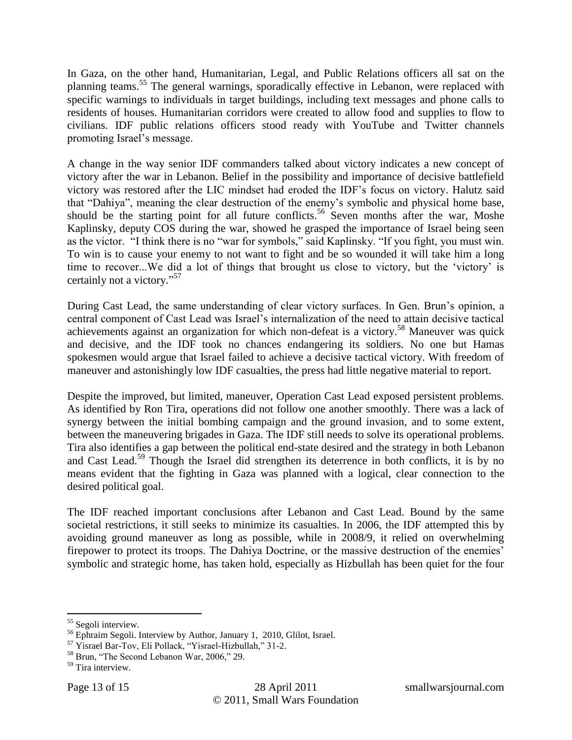In Gaza, on the other hand, Humanitarian, Legal, and Public Relations officers all sat on the planning teams.<sup>55</sup> The general warnings, sporadically effective in Lebanon, were replaced with specific warnings to individuals in target buildings, including text messages and phone calls to residents of houses. Humanitarian corridors were created to allow food and supplies to flow to civilians. IDF public relations officers stood ready with YouTube and Twitter channels promoting Israel"s message.

A change in the way senior IDF commanders talked about victory indicates a new concept of victory after the war in Lebanon. Belief in the possibility and importance of decisive battlefield victory was restored after the LIC mindset had eroded the IDF"s focus on victory. Halutz said that "Dahiya", meaning the clear destruction of the enemy"s symbolic and physical home base, should be the starting point for all future conflicts.<sup>56</sup> Seven months after the war, Moshe Kaplinsky, deputy COS during the war, showed he grasped the importance of Israel being seen as the victor. "I think there is no "war for symbols," said Kaplinsky. "If you fight, you must win. To win is to cause your enemy to not want to fight and be so wounded it will take him a long time to recover...We did a lot of things that brought us close to victory, but the 'victory' is certainly not a victory."<sup>57</sup>

During Cast Lead, the same understanding of clear victory surfaces. In Gen. Brun"s opinion, a central component of Cast Lead was Israel"s internalization of the need to attain decisive tactical achievements against an organization for which non-defeat is a victory.<sup>58</sup> Maneuver was quick and decisive, and the IDF took no chances endangering its soldiers. No one but Hamas spokesmen would argue that Israel failed to achieve a decisive tactical victory. With freedom of maneuver and astonishingly low IDF casualties, the press had little negative material to report.

Despite the improved, but limited, maneuver, Operation Cast Lead exposed persistent problems. As identified by Ron Tira, operations did not follow one another smoothly. There was a lack of synergy between the initial bombing campaign and the ground invasion, and to some extent, between the maneuvering brigades in Gaza. The IDF still needs to solve its operational problems. Tira also identifies a gap between the political end-state desired and the strategy in both Lebanon and Cast Lead.<sup>59</sup> Though the Israel did strengthen its deterrence in both conflicts, it is by no means evident that the fighting in Gaza was planned with a logical, clear connection to the desired political goal.

The IDF reached important conclusions after Lebanon and Cast Lead. Bound by the same societal restrictions, it still seeks to minimize its casualties. In 2006, the IDF attempted this by avoiding ground maneuver as long as possible, while in 2008/9, it relied on overwhelming firepower to protect its troops. The Dahiya Doctrine, or the massive destruction of the enemies' symbolic and strategic home, has taken hold, especially as Hizbullah has been quiet for the four

<sup>&</sup>lt;sup>55</sup> Segoli interview.

<sup>&</sup>lt;sup>56</sup> Ephraim Segoli. Interview by Author, January 1, 2010, Glilot, Israel.

<sup>57</sup> Yisrael Bar-Tov, Eli Pollack, "Yisrael-Hizbullah," 31-2.

<sup>58</sup> Brun, "The Second Lebanon War, 2006," 29.

<sup>&</sup>lt;sup>59</sup> Tira interview.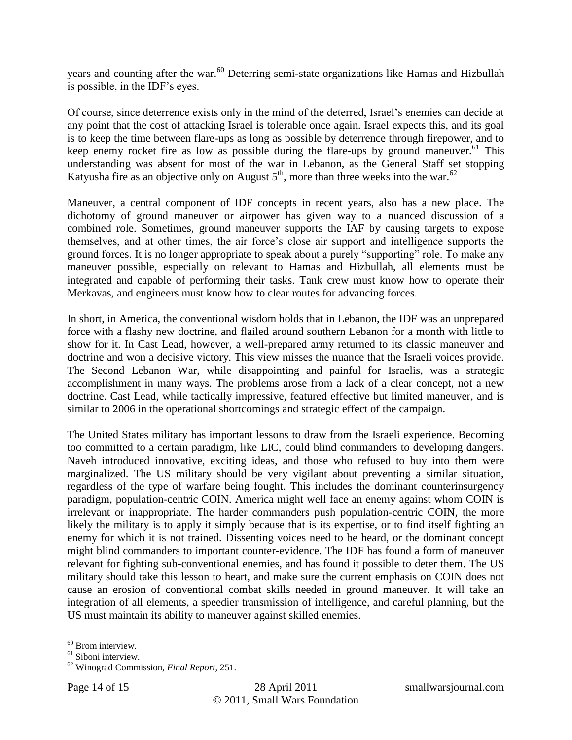years and counting after the war.<sup>60</sup> Deterring semi-state organizations like Hamas and Hizbullah is possible, in the IDF"s eyes.

Of course, since deterrence exists only in the mind of the deterred, Israel"s enemies can decide at any point that the cost of attacking Israel is tolerable once again. Israel expects this, and its goal is to keep the time between flare-ups as long as possible by deterrence through firepower, and to keep enemy rocket fire as low as possible during the flare-ups by ground maneuver.<sup>61</sup> This understanding was absent for most of the war in Lebanon, as the General Staff set stopping Katyusha fire as an objective only on August  $5<sup>th</sup>$ , more than three weeks into the war.<sup>62</sup>

Maneuver, a central component of IDF concepts in recent years, also has a new place. The dichotomy of ground maneuver or airpower has given way to a nuanced discussion of a combined role. Sometimes, ground maneuver supports the IAF by causing targets to expose themselves, and at other times, the air force"s close air support and intelligence supports the ground forces. It is no longer appropriate to speak about a purely "supporting" role. To make any maneuver possible, especially on relevant to Hamas and Hizbullah, all elements must be integrated and capable of performing their tasks. Tank crew must know how to operate their Merkavas, and engineers must know how to clear routes for advancing forces.

In short, in America, the conventional wisdom holds that in Lebanon, the IDF was an unprepared force with a flashy new doctrine, and flailed around southern Lebanon for a month with little to show for it. In Cast Lead, however, a well-prepared army returned to its classic maneuver and doctrine and won a decisive victory. This view misses the nuance that the Israeli voices provide. The Second Lebanon War, while disappointing and painful for Israelis, was a strategic accomplishment in many ways. The problems arose from a lack of a clear concept, not a new doctrine. Cast Lead, while tactically impressive, featured effective but limited maneuver, and is similar to 2006 in the operational shortcomings and strategic effect of the campaign.

The United States military has important lessons to draw from the Israeli experience. Becoming too committed to a certain paradigm, like LIC, could blind commanders to developing dangers. Naveh introduced innovative, exciting ideas, and those who refused to buy into them were marginalized. The US military should be very vigilant about preventing a similar situation, regardless of the type of warfare being fought. This includes the dominant counterinsurgency paradigm, population-centric COIN. America might well face an enemy against whom COIN is irrelevant or inappropriate. The harder commanders push population-centric COIN, the more likely the military is to apply it simply because that is its expertise, or to find itself fighting an enemy for which it is not trained. Dissenting voices need to be heard, or the dominant concept might blind commanders to important counter-evidence. The IDF has found a form of maneuver relevant for fighting sub-conventional enemies, and has found it possible to deter them. The US military should take this lesson to heart, and make sure the current emphasis on COIN does not cause an erosion of conventional combat skills needed in ground maneuver. It will take an integration of all elements, a speedier transmission of intelligence, and careful planning, but the US must maintain its ability to maneuver against skilled enemies.

 $60$  Brom interview.

<sup>&</sup>lt;sup>61</sup> Siboni interview.

<sup>62</sup> Winograd Commission, *Final Report,* 251.